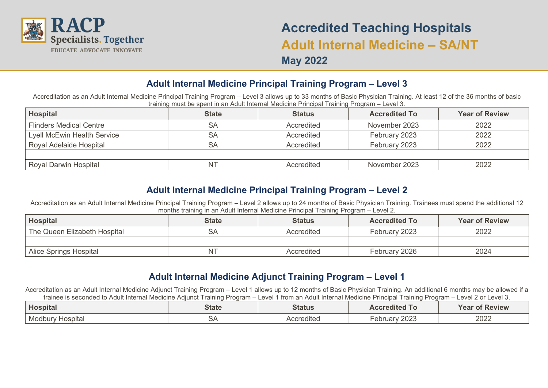

# **Accredited Teaching Hospitals Adult Internal Medicine – SA/NT May 2022**

## **Adult Internal Medicine Principal Training Program – Level 3**

Accreditation as an Adult Internal Medicine Principal Training Program – Level 3 allows up to 33 months of Basic Physician Training. At least 12 of the 36 months of basic training must be spent in an Adult Internal Medicine Principal Training Program – Level 3.

| <b>Hospital</b>                | <b>State</b> | <b>Status</b> | <b>Accredited To</b> | <b>Year of Review</b> |
|--------------------------------|--------------|---------------|----------------------|-----------------------|
| <b>Flinders Medical Centre</b> | SΑ           | Accredited    | November 2023        |                       |
| Lyell McEwin Health Service    | <b>SA</b>    | Accredited    | February 2023        | 2022                  |
| Royal Adelaide Hospital        | <b>SA</b>    | Accredited    | February 2023        | 2022                  |
|                                |              |               |                      |                       |
| Royal Darwin Hospital          | NT           | Accredited    | November 2023        | 2022                  |

#### **Adult Internal Medicine Principal Training Program – Level 2**

Accreditation as an Adult Internal Medicine Principal Training Program – Level 2 allows up to 24 months of Basic Physician Training. Trainees must spend the additional 12 months training in an Adult Internal Medicine Principal Training Program – Level 2.

| <b>Hospital</b>              | <b>State</b>   | <b>Status</b>     | <b>Accredited To</b> | <b>Year of Review</b> |
|------------------------------|----------------|-------------------|----------------------|-----------------------|
| The Queen Elizabeth Hospital |                | Accredited        | February 2023        | 2022                  |
|                              |                |                   |                      |                       |
| Alice Springs Hospital       | N <sup>T</sup> | <b>Accredited</b> | February 2026        | 2024                  |

## **Adult Internal Medicine Adjunct Training Program – Level 1**

Accreditation as an Adult Internal Medicine Adjunct Training Program – Level 1 allows up to 12 months of Basic Physician Training. An additional 6 months may be allowed if a trainee is seconded to Adult Internal Medicine Adjunct Training Program – Level 1 from an Adult Internal Medicine Principal Training Program – Level 2 or Level 3.

| <b>Hospital</b>     | <b>State</b> | Status            | <b>Accredited</b><br><b>10</b> | <b>Year of Review</b> |
|---------------------|--------------|-------------------|--------------------------------|-----------------------|
| Hospital<br>Modbury | OM           | <b>Accredited</b> | 0000<br>$\sim$<br>ebru<br>∠∪∠ડ | 2022                  |